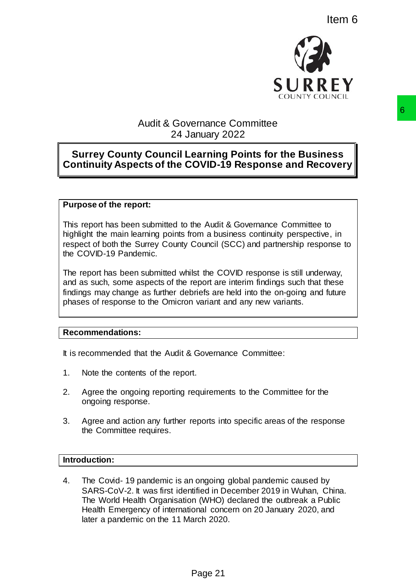

# Audit & Governance Committee 24 January 2022

# **Surrey County Council Learning Points for the Business Continuity Aspects of the COVID-19 Response and Recovery**

# **Purpose of the report:**

This report has been submitted to the Audit & Governance Committee to highlight the main learning points from a business continuity perspective, in respect of both the Surrey County Council (SCC) and partnership response to the COVID-19 Pandemic.

The report has been submitted whilst the COVID response is still underway, and as such, some aspects of the report are interim findings such that these findings may change as further debriefs are held into the on-going and future phases of response to the Omicron variant and any new variants.

### **Recommendations:**

It is recommended that the Audit & Governance Committee:

- 1. Note the contents of the report.
- 2. Agree the ongoing reporting requirements to the Committee for the ongoing response.
- 3. Agree and action any further reports into specific areas of the response the Committee requires.

## **Introduction:**

4. The Covid- 19 pandemic is an ongoing global pandemic caused by SARS-CoV-2. It was first identified in December 2019 in Wuhan, China. The World Health Organisation (WHO) declared the outbreak a Public Health Emergency of international concern on 20 January 2020, and later a pandemic on the 11 March 2020. Page 21 6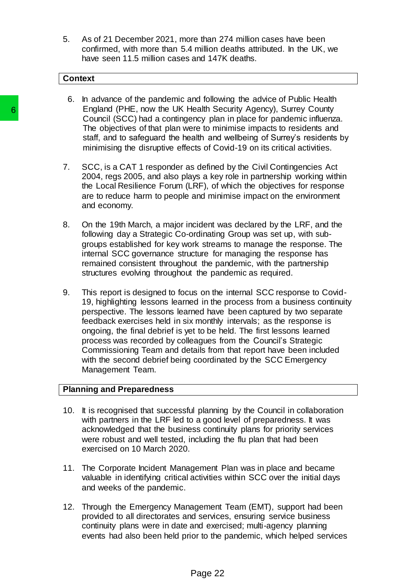5. As of 21 December 2021, more than 274 million cases have been confirmed, with more than 5.4 million deaths attributed. In the UK, we have seen 11.5 million cases and 147K deaths.

#### **Context**

- 6. In advance of the pandemic and following the advice of Public Health England (PHE, now the UK Health Security Agency), Surrey County Council (SCC) had a contingency plan in place for pandemic influenza. The objectives of that plan were to minimise impacts to residents and staff, and to safeguard the health and wellbeing of Surrey's residents by minimising the disruptive effects of Covid-19 on its critical activities.
- 7. SCC, is a CAT 1 responder as defined by the Civil Contingencies Act 2004, regs 2005, and also plays a key role in partnership working within the Local Resilience Forum (LRF), of which the objectives for response are to reduce harm to people and minimise impact on the environment and economy.
- 8. On the 19th March, a major incident was declared by the LRF, and the following day a Strategic Co-ordinating Group was set up, with subgroups established for key work streams to manage the response. The internal SCC governance structure for managing the response has remained consistent throughout the pandemic, with the partnership structures evolving throughout the pandemic as required.
- 9. This report is designed to focus on the internal SCC response to Covid-19, highlighting lessons learned in the process from a business continuity perspective. The lessons learned have been captured by two separate feedback exercises held in six monthly intervals; as the response is ongoing, the final debrief is yet to be held. The first lessons learned process was recorded by colleagues from the Council's Strategic Commissioning Team and details from that report have been included with the second debrief being coordinated by the SCC Emergency Management Team. **Contain (PHE, now the UK Health Server to minimize the objectives of that plane substitues of that plane and staff, and to safegurard the health and staff, and to safegurard the health and minimising the disruptive effect**

## **Planning and Preparedness**

- 10. It is recognised that successful planning by the Council in collaboration with partners in the LRF led to a good level of preparedness. It was acknowledged that the business continuity plans for priority services were robust and well tested, including the flu plan that had been exercised on 10 March 2020.
- 11. The Corporate Incident Management Plan was in place and became valuable in identifying critical activities within SCC over the initial days and weeks of the pandemic.
- 12. Through the Emergency Management Team (EMT), support had been provided to all directorates and services, ensuring service business continuity plans were in date and exercised; multi-agency planning events had also been held prior to the pandemic, which helped services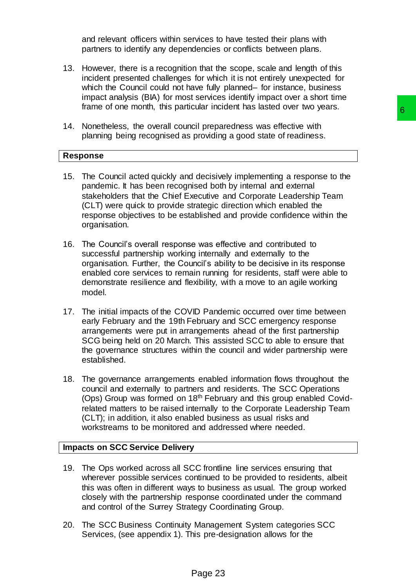and relevant officers within services to have tested their plans with partners to identify any dependencies or conflicts between plans.

- 13. However, there is a recognition that the scope, scale and length of this incident presented challenges for which it is not entirely unexpected for which the Council could not have fully planned– for instance, business impact analysis (BIA) for most services identify impact over a short time frame of one month, this particular incident has lasted over two years.
- 14. Nonetheless, the overall council preparedness was effective with planning being recognised as providing a good state of readiness.

## **Response**

- 15. The Council acted quickly and decisively implementing a response to the pandemic. It has been recognised both by internal and external stakeholders that the Chief Executive and Corporate Leadership Team (CLT) were quick to provide strategic direction which enabled the response objectives to be established and provide confidence within the organisation.
- 16. The Council's overall response was effective and contributed to successful partnership working internally and externally to the organisation. Further, the Council's ability to be decisive in its response enabled core services to remain running for residents, staff were able to demonstrate resilience and flexibility, with a move to an agile working model.
- 17. The initial impacts of the COVID Pandemic occurred over time between early February and the 19th February and SCC emergency response arrangements were put in arrangements ahead of the first partnership SCG being held on 20 March. This assisted SCC to able to ensure that the governance structures within the council and wider partnership were established.
- 18. The governance arrangements enabled information flows throughout the council and externally to partners and residents. The SCC Operations (Ops) Group was formed on 18<sup>th</sup> February and this group enabled Covidrelated matters to be raised internally to the Corporate Leadership Team (CLT); in addition, it also enabled business as usual risks and workstreams to be monitored and addressed where needed. cil preparedness was effective whist<br>
cil preparedness was effective with<br>
providing a good state of readiness.<br>
The decisively implementing a response to the<br>
security and Corporate Leadership Team<br>
certains discreption w

# **Impacts on SCC Service Delivery**

- 19. The Ops worked across all SCC frontline line services ensuring that wherever possible services continued to be provided to residents, albeit this was often in different ways to business as usual. The group worked closely with the partnership response coordinated under the command and control of the Surrey Strategy Coordinating Group.
- 20. The SCC Business Continuity Management System categories SCC Services, (see appendix 1). This pre-designation allows for the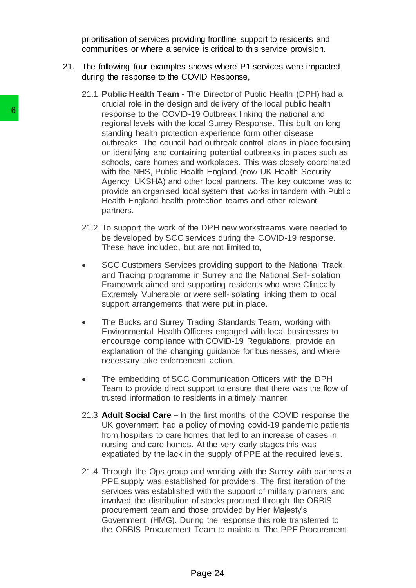prioritisation of services providing frontline support to residents and communities or where a service is critical to this service provision.

- 21. The following four examples shows where P1 services were impacted during the response to the COVID Response,
- 21.1 **Public Health Team** The Director of Public Health (DPH) had a crucial role in the design and delivery of the local public health response to the COVID-19 Outbreak linking the national and regional levels with the local Surrey Response. This built on long standing health protection experience form other disease outbreaks. The council had outbreak control plans in place focusing on identifying and containing potential outbreaks in places such as schools, care homes and workplaces. This was closely coordinated with the NHS, Public Health England (now UK Health Security Agency, UKSHA) and other local partners. The key outcome was to provide an organised local system that works in tandem with Public Health England health protection teams and other relevant partners. 6<br>
response to the COVID-19 Outbre<br>
regional levels with the local Surring and the standing health protection experient<br>
outhersize. The council had outhin prote<br>
on identifying and containing pote<br>
schools, care homes and
	- 21.2 To support the work of the DPH new workstreams were needed to be developed by SCC services during the COVID-19 response. These have included, but are not limited to,
	- SCC Customers Services providing support to the National Track and Tracing programme in Surrey and the National Self-Isolation Framework aimed and supporting residents who were Clinically Extremely Vulnerable or were self-isolating linking them to local support arrangements that were put in place.
	- The Bucks and Surrey Trading Standards Team, working with Environmental Health Officers engaged with local businesses to encourage compliance with COVID-19 Regulations, provide an explanation of the changing guidance for businesses, and where necessary take enforcement action.
	- The embedding of SCC Communication Officers with the DPH Team to provide direct support to ensure that there was the flow of trusted information to residents in a timely manner.
	- 21.3 **Adult Social Care –** In the first months of the COVID response the UK government had a policy of moving covid-19 pandemic patients from hospitals to care homes that led to an increase of cases in nursing and care homes. At the very early stages this was expatiated by the lack in the supply of PPE at the required levels.
	- 21.4 Through the Ops group and working with the Surrey with partners a PPE supply was established for providers. The first iteration of the services was established with the support of military planners and involved the distribution of stocks procured through the ORBIS procurement team and those provided by Her Majesty's Government (HMG). During the response this role transferred to the ORBIS Procurement Team to maintain. The PPE Procurement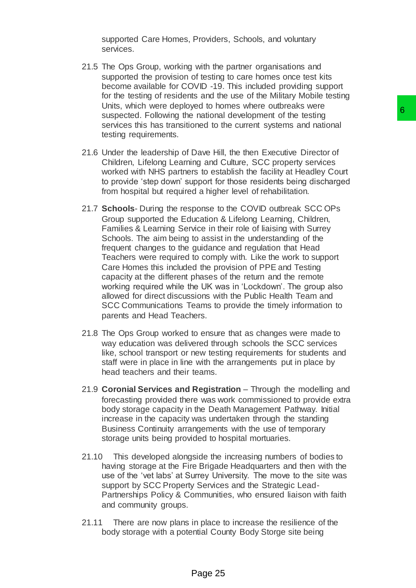supported Care Homes, Providers, Schools, and voluntary services.

- 21.5 The Ops Group, working with the partner organisations and supported the provision of testing to care homes once test kits become available for COVID -19. This included providing support for the testing of residents and the use of the Military Mobile testing Units, which were deployed to homes where outbreaks were suspected. Following the national development of the testing services this has transitioned to the current systems and national testing requirements.
- 21.6 Under the leadership of Dave Hill, the then Executive Director of Children, Lifelong Learning and Culture, SCC property services worked with NHS partners to establish the facility at Headley Court to provide 'step down' support for those residents being discharged from hospital but required a higher level of rehabilitation.
- 21.7 **Schools** During the response to the COVID outbreak SCC OPs Group supported the Education & Lifelong Learning, Children, Families & Learning Service in their role of liaising with Surrey Schools. The aim being to assist in the understanding of the frequent changes to the guidance and regulation that Head Teachers were required to comply with. Like the work to support Care Homes this included the provision of PPE and Testing capacity at the different phases of the return and the remote working required while the UK was in 'Lockdown'. The group also allowed for direct discussions with the Public Health Team and SCC Communications Teams to provide the timely information to parents and Head Teachers. be a boundary and Culture and the best of the state of the state of the state of the control of the control of the control of the control of the control of the control of the control of the control of a control of the cont
- 21.8 The Ops Group worked to ensure that as changes were made to way education was delivered through schools the SCC services like, school transport or new testing requirements for students and staff were in place in line with the arrangements put in place by head teachers and their teams.
- 21.9 **Coronial Services and Registration** Through the modelling and forecasting provided there was work commissioned to provide extra body storage capacity in the Death Management Pathway. Initial increase in the capacity was undertaken through the standing Business Continuity arrangements with the use of temporary storage units being provided to hospital mortuaries.
- 21.10 This developed alongside the increasing numbers of bodies to having storage at the Fire Brigade Headquarters and then with the use of the 'vet labs' at Surrey University. The move to the site was support by SCC Property Services and the Strategic Lead-Partnerships Policy & Communities, who ensured liaison with faith and community groups.
- 21.11 There are now plans in place to increase the resilience of the body storage with a potential County Body Storge site being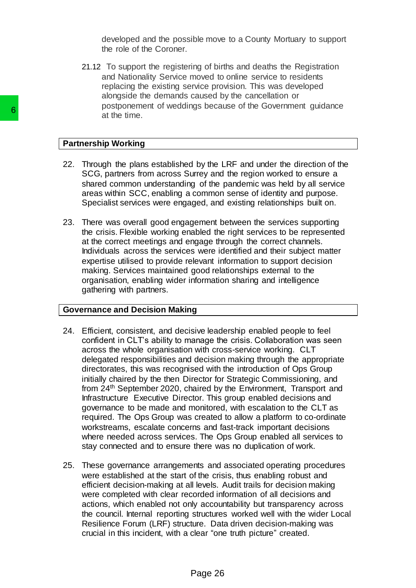developed and the possible move to a County Mortuary to support the role of the Coroner.

21.12 To support the registering of births and deaths the Registration and Nationality Service moved to online service to residents replacing the existing service provision. This was developed alongside the demands caused by the cancellation or postponement of weddings because of the Government guidance at the time.

## **Partnership Working**

- 22. Through the plans established by the LRF and under the direction of the SCG, partners from across Surrey and the region worked to ensure a shared common understanding of the pandemic was held by all service areas within SCC, enabling a common sense of identity and purpose. Specialist services were engaged, and existing relationships built on.
- 23. There was overall good engagement between the services supporting the crisis. Flexible working enabled the right services to be represented at the correct meetings and engage through the correct channels. Individuals across the services were identified and their subject matter expertise utilised to provide relevant information to support decision making. Services maintained good relationships external to the organisation, enabling wider information sharing and intelligence gathering with partners.

### **Governance and Decision Making**

- 24. Efficient, consistent, and decisive leadership enabled people to feel confident in CLT's ability to manage the crisis. Collaboration was seen across the whole organisation with cross-service working. CLT delegated responsibilities and decision making through the appropriate directorates, this was recognised with the introduction of Ops Group initially chaired by the then Director for Strategic Commissioning, and from 24th September 2020, chaired by the Environment, Transport and Infrastructure Executive Director. This group enabled decisions and governance to be made and monitored, with escalation to the CLT as required. The Ops Group was created to allow a platform to co-ordinate workstreams, escalate concerns and fast-track important decisions where needed across services. The Ops Group enabled all services to stay connected and to ensure there was no duplication of work. **Example 18 Following Science Contains and the state of the Case of SCS, particles and SCC, and SCC, and state of the SPCS (SPCS) and state with SCC, enabling a common orders and the specialist serices were engaged, and th** 
	- 25. These governance arrangements and associated operating procedures were established at the start of the crisis, thus enabling robust and efficient decision-making at all levels. Audit trails for decision making were completed with clear recorded information of all decisions and actions, which enabled not only accountability but transparency across the council. Internal reporting structures worked well with the wider Local Resilience Forum (LRF) structure. Data driven decision-making was crucial in this incident, with a clear "one truth picture" created.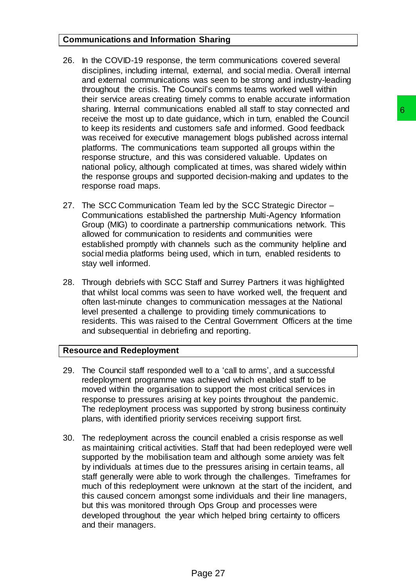# **Communications and Information Sharing**

- 26. In the COVID-19 response, the term communications covered several disciplines, including internal, external, and social media. Overall internal and external communications was seen to be strong and industry-leading throughout the crisis. The Council's comms teams worked well within their service areas creating timely comms to enable accurate information sharing. Internal communications enabled all staff to stay connected and receive the most up to date guidance, which in turn, enabled the Council to keep its residents and customers safe and informed. Good feedback was received for executive management blogs published across internal platforms. The communications team supported all groups within the response structure, and this was considered valuable. Updates on national policy, although complicated at times, was shared widely within the response groups and supported decision-making and updates to the response road maps.
- 27. The SCC Communication Team led by the SCC Strategic Director Communications established the partnership Multi-Agency Information Group (MIG) to coordinate a partnership communications network. This allowed for communication to residents and communities were established promptly with channels such as the community helpline and social media platforms being used, which in turn, enabled residents to stay well informed.
- 28. Through debriefs with SCC Staff and Surrey Partners it was highlighted that whilst local comms was seen to have worked well, the frequent and often last-minute changes to communication messages at the National level presented a challenge to providing timely communications to residents. This was raised to the Central Government Officers at the time and subsequential in debriefing and reporting.

# **Resource and Redeployment**

- 29. The Council staff responded well to a 'call to arms', and a successful redeployment programme was achieved which enabled staff to be moved within the organisation to support the most critical services in response to pressures arising at key points throughout the pandemic. The redeployment process was supported by strong business continuity plans, with identified priority services receiving support first.
- 30. The redeployment across the council enabled a crisis response as well as maintaining critical activities. Staff that had been redeployed were well supported by the mobilisation team and although some anxiety was felt by individuals at times due to the pressures arising in certain teams, all staff generally were able to work through the challenges. Timeframes for much of this redeployment were unknown at the start of the incident, and this caused concern amongst some individuals and their line managers, but this was monitored through Ops Group and processes were developed throughout the year which helped bring certainty to officers and their managers. ons enabled all start to stay connected and<br>oidance, which in turn, enabled the Council 6<br>oidance, which in turn, enabled the Council Coordinact<br>annegener blogs published across internal<br>is team supported all groups within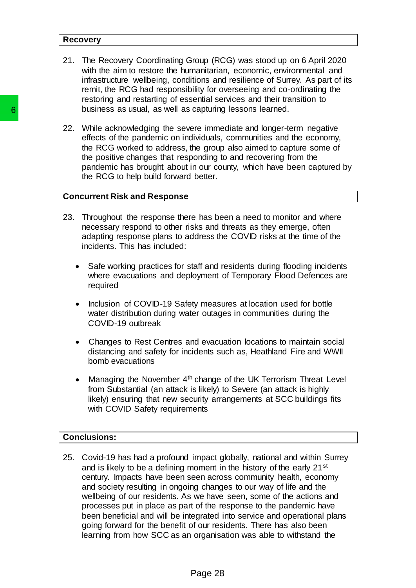#### **Recovery**

- 21. The Recovery Coordinating Group (RCG) was stood up on 6 April 2020 with the aim to restore the humanitarian, economic, environmental and infrastructure wellbeing, conditions and resilience of Surrey. As part of its remit, the RCG had responsibility for overseeing and co-ordinating the restoring and restarting of essential services and their transition to business as usual, as well as capturing lessons learned.
- 22. While acknowledging the severe immediate and longer-term negative effects of the pandemic on individuals, communities and the economy, the RCG worked to address, the group also aimed to capture some of the positive changes that responding to and recovering from the pandemic has brought about in our county, which have been captured by the RCG to help build forward better.

#### **Concurrent Risk and Response**

- 23. Throughout the response there has been a need to monitor and where necessary respond to other risks and threats as they emerge, often adapting response plans to address the COVID risks at the time of the incidents. This has included:
	- Safe working practices for staff and residents during flooding incidents where evacuations and deployment of Temporary Flood Defences are required
	- Inclusion of COVID-19 Safety measures at location used for bottle water distribution during water outages in communities during the COVID-19 outbreak
	- Changes to Rest Centres and evacuation locations to maintain social distancing and safety for incidents such as, Heathland Fire and WWII bomb evacuations
	- Managing the November 4<sup>th</sup> change of the UK Terrorism Threat Level from Substantial (an attack is likely) to Severe (an attack is highly likely) ensuring that new security arrangements at SCC buildings fits with COVID Safety requirements

## **Conclusions:**

25. Covid-19 has had a profound impact globally, national and within Surrey and is likely to be a defining moment in the history of the early 21<sup>st</sup> century. Impacts have been seen across community health, economy and society resulting in ongoing changes to our way of life and the wellbeing of our residents. As we have seen, some of the actions and processes put in place as part of the response to the pandemic have been beneficial and will be integrated into service and operational plans going forward for the benefit of our residents. There has also been learning from how SCC as an organisation was able to withstand the business as usual, as well as captumn<br>
22. While acknowledging the severe immeric of<br>
effects of the pandemic on individuals,<br>
the RCG worked to address, the group<br>
the positive charges that responding to<br>
pandemic has bro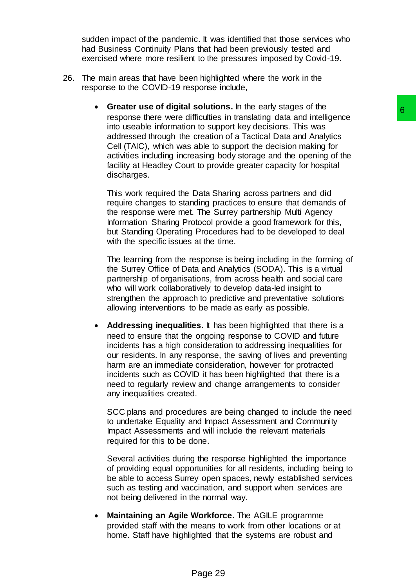sudden impact of the pandemic. It was identified that those services who had Business Continuity Plans that had been previously tested and exercised where more resilient to the pressures imposed by Covid-19.

- 26. The main areas that have been highlighted where the work in the response to the COVID-19 response include,
	- **Greater use of digital solutions.** In the early stages of the response there were difficulties in translating data and intelligence into useable information to support key decisions. This was addressed through the creation of a Tactical Data and Analytics Cell (TAIC), which was able to support the decision making for activities including increasing body storage and the opening of the facility at Headley Court to provide greater capacity for hospital discharges.

This work required the Data Sharing across partners and did require changes to standing practices to ensure that demands of the response were met. The Surrey partnership Multi Agency Information Sharing Protocol provide a good framework for this, but Standing Operating Procedures had to be developed to deal with the specific issues at the time.

The learning from the response is being including in the forming of the Surrey Office of Data and Analytics (SODA). This is a virtual partnership of organisations, from across health and social care who will work collaboratively to develop data-led insight to strengthen the approach to predictive and preventative solutions allowing interventions to be made as early as possible.

 **Addressing inequalities.** It has been highlighted that there is a need to ensure that the ongoing response to COVID and future incidents has a high consideration to addressing inequalities for our residents. In any response, the saving of lives and preventing harm are an immediate consideration, however for protracted incidents such as COVID it has been highlighted that there is a need to regularly review and change arrangements to consider any inequalities created. solutions: The velocy scales to the proposed of the most proposed of the most propose they decisions. This was<br>traction of a Tactical Data and Analytics creation of a Tactical Data and Analytics<br>able to support the decisio

SCC plans and procedures are being changed to include the need to undertake Equality and Impact Assessment and Community Impact Assessments and will include the relevant materials required for this to be done.

Several activities during the response highlighted the importance of providing equal opportunities for all residents, including being to be able to access Surrey open spaces, newly established services such as testing and vaccination, and support when services are not being delivered in the normal way.

 **Maintaining an Agile Workforce.** The AGILE programme provided staff with the means to work from other locations or at home. Staff have highlighted that the systems are robust and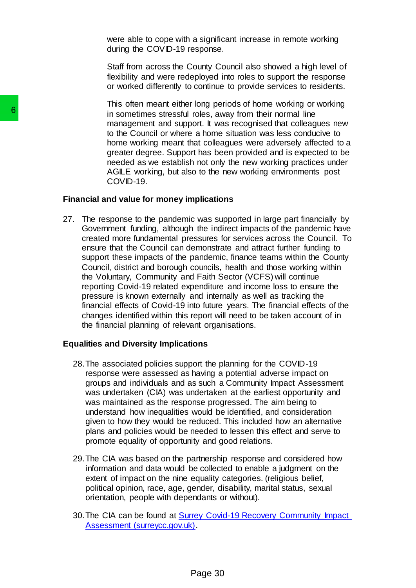were able to cope with a significant increase in remote working during the COVID-19 response.

Staff from across the County Council also showed a high level of flexibility and were redeployed into roles to support the response or worked differently to continue to provide services to residents.

This often meant either long periods of home working or working in sometimes stressful roles, away from their normal line management and support. It was recognised that colleagues new to the Council or where a home situation was less conducive to home working meant that colleagues were adversely affected to a greater degree. Support has been provided and is expected to be needed as we establish not only the new working practices under AGILE working, but also to the new working environments post COVID-19.

### **Financial and value for money implications**

27. The response to the pandemic was supported in large part financially by Government funding, although the indirect impacts of the pandemic have created more fundamental pressures for services across the Council. To ensure that the Council can demonstrate and attract further funding to support these impacts of the pandemic, finance teams within the County Council, district and borough councils, health and those working within the Voluntary, Community and Faith Sector (VCFS) will continue reporting Covid-19 related expenditure and income loss to ensure the pressure is known externally and internally as well as tracking the financial effects of Covid-19 into future years. The financial effects of the changes identified within this report will need to be taken account of in the financial planning of relevant organisations. **6**<br>
in sometimes stresstul roles, aw<br>
management and support. It was both Council or where a home<br>
bence degree. Support has be<br>
needed as we establish not only<br>
reached as we establish not only<br>  $\angle GUL = VU10^{-19}$ .<br>
Financ

## **Equalities and Diversity Implications**

- 28.The associated policies support the planning for the COVID-19 response were assessed as having a potential adverse impact on groups and individuals and as such a Community Impact Assessment was undertaken (CIA) was undertaken at the earliest opportunity and was maintained as the response progressed. The aim being to understand how inequalities would be identified, and consideration given to how they would be reduced. This included how an alternative plans and policies would be needed to lessen this effect and serve to promote equality of opportunity and good relations.
- 29.The CIA was based on the partnership response and considered how information and data would be collected to enable a judgment on the extent of impact on the nine equality categories. (religious belief, political opinion, race, age, gender, disability, marital status, sexual orientation, people with dependants or without).
- 30.The CIA can be found at [Surrey Covid-19 Recovery Community Impact](https://mycouncil.surreycc.gov.uk/documents/s73738/Item%205%20-%20Annex%201%20-%20Surrey%20Covid%2019%20Community%20Impact%20Assessment%20-%20summary%20of%20key%20findings.pdf)  [Assessment \(surreycc.gov.uk\).](https://mycouncil.surreycc.gov.uk/documents/s73738/Item%205%20-%20Annex%201%20-%20Surrey%20Covid%2019%20Community%20Impact%20Assessment%20-%20summary%20of%20key%20findings.pdf)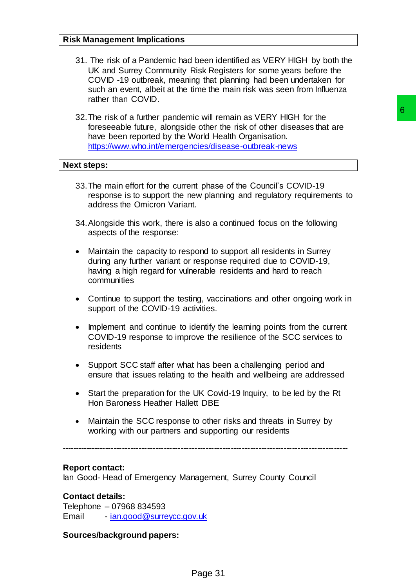- 31. The risk of a Pandemic had been identified as VERY HIGH by both the UK and Surrey Community Risk Registers for some years before the COVID -19 outbreak, meaning that planning had been undertaken for such an event, albeit at the time the main risk was seen from Influenza rather than COVID.
- 32.The risk of a further pandemic will remain as VERY HIGH for the foreseeable future, alongside other the risk of other diseases that are have been reported by the World Health Organisation. <https://www.who.int/emergencies/disease-outbreak-news> ic will remain as VERY HIGH for the effect of other disk of other disk of other disk of other disk of order disk of other disk of other disk of other disk orders of the Council's COVID-19 what the page 30 continued focus o

### **Next steps:**

- 33.The main effort for the current phase of the Council's COVID-19 response is to support the new planning and regulatory requirements to address the Omicron Variant.
- 34.Alongside this work, there is also a continued focus on the following aspects of the response:
- Maintain the capacity to respond to support all residents in Surrey during any further variant or response required due to COVID-19, having a high regard for vulnerable residents and hard to reach communities
- Continue to support the testing, vaccinations and other ongoing work in support of the COVID-19 activities.
- Implement and continue to identify the learning points from the current COVID-19 response to improve the resilience of the SCC services to residents
- Support SCC staff after what has been a challenging period and ensure that issues relating to the health and wellbeing are addressed
- Start the preparation for the UK Covid-19 Inquiry, to be led by the Rt Hon Baroness Heather Hallett DBE
- Maintain the SCC response to other risks and threats in Surrey by working with our partners and supporting our residents

**-------------------------------------------------------------------------------------------------------**

### **Report contact:**

Ian Good- Head of Emergency Management, Surrey County Council

#### **Contact details:**

Telephone – 07968 834593 Email - [ian.good@surreycc.gov.uk](mailto:ian.good@surreycc.gov.uk)

#### **Sources/background papers:**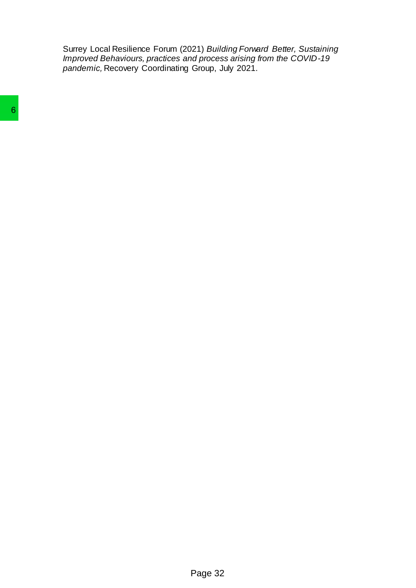Surrey Local Resilience Forum (2021) *Building Forward Better, Sustaining Improved Behaviours, practices and process arising from the COVID-19 pandemic,* Recovery Coordinating Group, July 2021.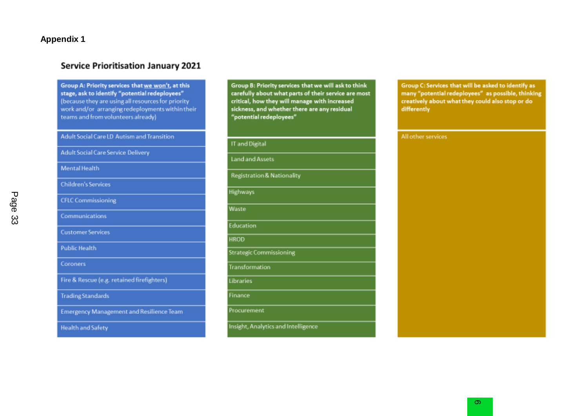# **Appendix 1**

# **Service Prioritisation January 2021**

Group A: Priority services that we won't, at this stage, ask to identify "potential redeployees" (because they are using all resources for priority work and/or arranging redeployments within their teams and from volunteers already)

Adult Social Care LD Autism and Transition

**Adult Social Care Service Delivery** 

**Mental Health** 

**Children's Services** 

**CFLC Commissioning** 

Communications

**Customer Services** 

**Public Health** 

Coroners

Fire & Rescue (e.g. retained firefighters)

**Trading Standards** 

**Emergency Management and Resilience Team** 

**Health and Safety** 

Group B: Priority services that we will ask to think carefully about what parts of their service are most critical, how they will manage with increased sickness, and whether there are any residual "potential redeployees"

IT and Digital

**Land and Assets** 

**Registration & Nationality** 

**Highways** 

Waste

**Education** 

**HROD** 

**Strategic Commissioning** 

**Transformation** 

Libraries

Finance

Procurement

Insight, Analytics and Intelligence

Group C: Services that will be asked to identify as many "potential redeployees" as possible, thinking creatively about what they could also stop or do differently

All other services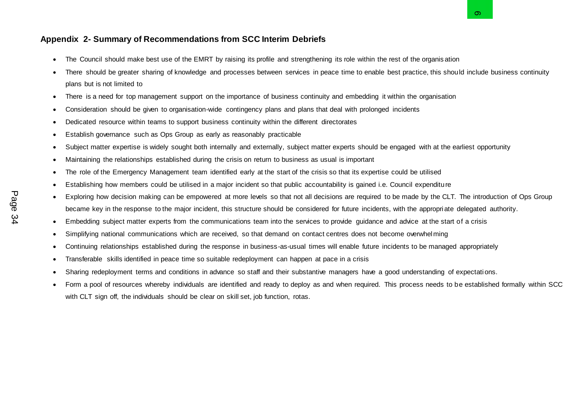- The Council should make best use of the EMRT by raising its profile and strengthening its role within the rest of the organis ation
- There should be greater sharing of knowledge and processes between services in peace time to enable best practice, this should include business continuity plans but is not limited to Appendix 2- Summary of Recommendations from SCC Interim Debriefs<br>
• The Council should make best use of the EMRT by raising its profile and strengthening its role within the rest of the organisation<br>
• There should be grea
	- There is a need for top management support on the importance of business continuity and embedding it within the organisation
	- Consideration should be given to organisation-wide contingency plans and plans that deal with prolonged incidents
	- Dedicated resource within teams to support business continuity within the different directorates
	- Establish governance such as Ops Group as early as reasonably practicable
	- Subject matter expertise is widely sought both internally and externally, subject matter experts should be engaged with at the earliest opportunity
	- Maintaining the relationships established during the crisis on return to business as usual is important
	- The role of the Emergency Management team identified early at the start of the crisis so that its expertise could be utilised
	- Establishing how members could be utilised in a major incident so that public accountability is gained i.e. Council expenditure
	- Exploring how decision making can be empowered at more levels so that not all decisions are required to be made by the CLT. The introduction of Ops Group became key in the response to the major incident, this structure should be considered for future incidents, with the appropriate delegated authority.
	- Embedding subject matter experts from the communications team into the services to provide guidance and advice at the start of a crisis
	- Simplifying national communications which are received, so that demand on contact centres does not become overwhelming
	- Continuing relationships established during the response in business-as-usual times will enable future incidents to be managed appropriately
	- Transferable skills identified in peace time so suitable redeployment can happen at pace in a crisis
	- Sharing redeployment terms and conditions in advance so staff and their substantive managers have a good understanding of expectations.
	- Form a pool of resources whereby individuals are identified and ready to deploy as and when required. This process needs to be established formally within SCC with CLT sign off, the individuals should be clear on skill set, job function, rotas.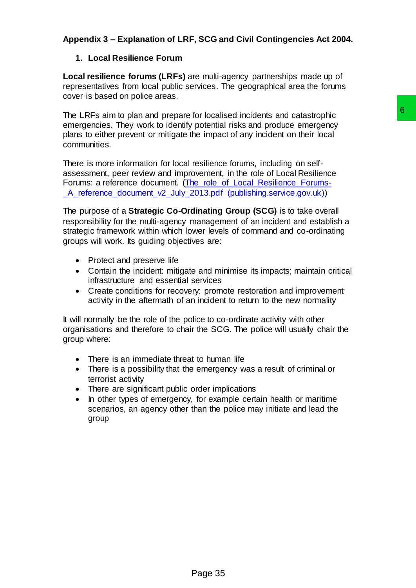# **Appendix 3 – Explanation of LRF, SCG and Civil Contingencies Act 2004.**

# **1. Local Resilience Forum**

**Local resilience forums (LRFs)** are multi-agency partnerships made up of representatives from local public services. The geographical area the forums cover is based on police areas.

The LRFs aim to plan and prepare for localised incidents and catastrophic emergencies. They work to identify potential risks and produce emergency plans to either prevent or mitigate the impact of any incident on their local communities.

There is more information for local resilience forums, including on selfassessment, peer review and improvement, in the role of Local Resilience Forums: a reference document. [\(The\\_role\\_of\\_Local\\_Resilience\\_Forums-](https://assets.publishing.service.gov.uk/government/uploads/system/uploads/attachment_data/file/62277/The_role_of_Local_Resilience_Forums-_A_reference_document_v2_July_2013.pdf) A reference document v2 July 2013.pdf (publishing.service.gov.uk))

The purpose of a **Strategic Co-Ordinating Group (SCG)** is to take overall responsibility for the multi-agency management of an incident and establish a strategic framework within which lower levels of command and co-ordinating groups will work. Its guiding objectives are: for localised incidents and catastrophic<br>potential risks and produce energency<br>perimial risks and produce energency<br>the impact of any inident on their local<br>resilience<br>for the risk of Local Resilience<br> $P_2(0) = (1 - 0.0 \pm 0.$ 

- Protect and preserve life
- Contain the incident: mitigate and minimise its impacts; maintain critical infrastructure and essential services
- Create conditions for recovery: promote restoration and improvement activity in the aftermath of an incident to return to the new normality

It will normally be the role of the police to co-ordinate activity with other organisations and therefore to chair the SCG. The police will usually chair the group where:

- There is an immediate threat to human life
- There is a possibility that the emergency was a result of criminal or terrorist activity
- There are significant public order implications
- In other types of emergency, for example certain health or maritime scenarios, an agency other than the police may initiate and lead the group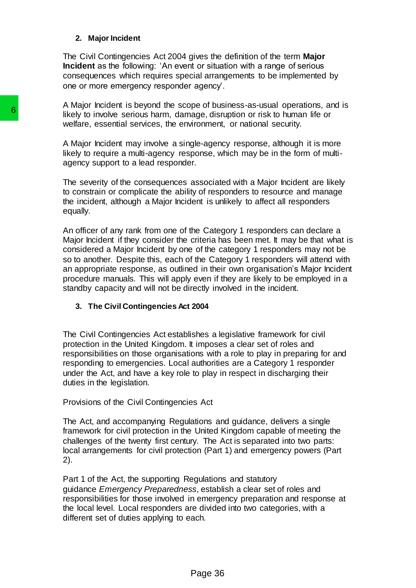#### **2. Major Incident**

The Civil Contingencies Act 2004 gives the definition of the term **Major Incident** as the following: 'An event or situation with a range of serious consequences which requires special arrangements to be implemented by one or more emergency responder agency'.

A Major Incident is beyond the scope of business-as-usual operations, and is likely to involve serious harm, damage, disruption or risk to human life or welfare, essential services, the environment, or national security.

A Major Incident may involve a single-agency response, although it is more likely to require a multi-agency response, which may be in the form of multiagency support to a lead responder.

The severity of the consequences associated with a Major Incident are likely to constrain or complicate the ability of responders to resource and manage the incident, although a Major Incident is unlikely to affect all responders equally.

An officer of any rank from one of the Category 1 responders can declare a Major Incident if they consider the criteria has been met. It may be that what is considered a Major Incident by one of the category 1 responders may not be so to another. Despite this, each of the Category 1 responders will attend with an appropriate response, as outlined in their own organisation's Major Incident procedure manuals. This will apply even if they are likely to be employed in a standby capacity and will not be directly involved in the incident. **6**<br>
Ikely to involve serious harm, danage, disn<br>
welfare, essential services, the environment.<br>
A Major Incident may involve a single-agent<br>
Ikely to require a multi-agency response, w<br>
Ikely to require a multi-agency res

### **3. The Civil Contingencies Act 2004**

The Civil Contingencies Act establishes a legislative framework for civil protection in the United Kingdom. It imposes a clear set of roles and responsibilities on those organisations with a role to play in preparing for and responding to emergencies. Local authorities are a Category 1 responder under the Act, and have a key role to play in respect in discharging their duties in the legislation.

Provisions of the Civil Contingencies Act

The Act, and accompanying Regulations and guidance, delivers a single framework for civil protection in the United Kingdom capable of meeting the challenges of the twenty first century. The Act is separated into two parts: local arrangements for civil protection (Part 1) and emergency powers (Part 2).

Part 1 of the Act, the supporting Regulations and statutory guidance *Emergency Preparedness*, establish a clear set of roles and responsibilities for those involved in emergency preparation and response at the local level. Local responders are divided into two categories, with a different set of duties applying to each.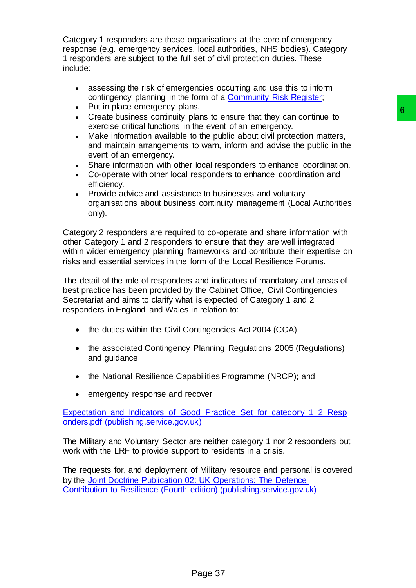Category 1 responders are those organisations at the core of emergency response (e.g. emergency services, local authorities, NHS bodies). Category 1 responders are subject to the full set of civil protection duties. These include:

- assessing the risk of emergencies occurring and use this to inform contingency planning in the form of a [Community Risk Register;](https://www.tameside.gov.uk/emergencyplanning/gmriskregister)
- Put in place emergency plans.
- Create business continuity plans to ensure that they can continue to exercise critical functions in the event of an emergency.
- Make information available to the public about civil protection matters, and maintain arrangements to warn, inform and advise the public in the event of an emergency.
- Share information with other local responders to enhance coordination.
- Co-operate with other local responders to enhance coordination and efficiency.
- Provide advice and assistance to businesses and voluntary organisations about business continuity management (Local Authorities only).

Category 2 responders are required to co-operate and share information with other Category 1 and 2 responders to ensure that they are well integrated within wider emergency planning frameworks and contribute their expertise on risks and essential services in the form of the Local Resilience Forums. is.<br>
Islans to ensure that they can continue to<br>
the event of an emergency.<br>
to the public about civil protection matters,<br>
to the public about civil protection matters,<br>
to warn, inform and advise the public in the<br>
local

The detail of the role of responders and indicators of mandatory and areas of best practice has been provided by the Cabinet Office, Civil Contingencies Secretariat and aims to clarify what is expected of Category 1 and 2 responders in England and Wales in relation to:

- the duties within the Civil Contingencies Act 2004 (CCA)
- the associated Contingency Planning Regulations 2005 (Regulations) and guidance
- the National Resilience Capabilities Programme (NRCP); and
- emergency response and recover

[Expectation\\_and\\_Indicators\\_of\\_Good\\_Practice\\_Set\\_for\\_category\\_1\\_2\\_Resp](https://assets.publishing.service.gov.uk/government/uploads/system/uploads/attachment_data/file/252341/Expectation_and_Indicators_of_Good_Practice_Set_for_category_1_2_Responders.pdf) [onders.pdf \(publishing.service.gov.uk\)](https://assets.publishing.service.gov.uk/government/uploads/system/uploads/attachment_data/file/252341/Expectation_and_Indicators_of_Good_Practice_Set_for_category_1_2_Responders.pdf)

The Military and Voluntary Sector are neither category 1 nor 2 responders but work with the LRF to provide support to residents in a crisis.

The requests for, and deployment of Military resource and personal is covered by the [Joint Doctrine Publication 02: UK Operations: The Defence](https://assets.publishing.service.gov.uk/government/uploads/system/uploads/attachment_data/file/1041953/20211214-JDP_02_web_post_proof_8_.pdf)  Contribution to Resilience [\(Fourth edition\) \(publishing.service.gov.uk\)](https://assets.publishing.service.gov.uk/government/uploads/system/uploads/attachment_data/file/1041953/20211214-JDP_02_web_post_proof_8_.pdf)